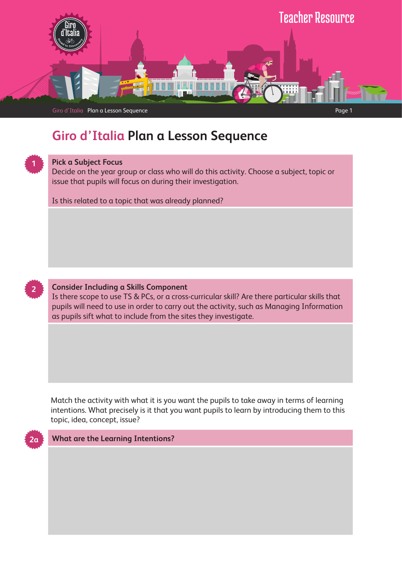

# **Giro d'Italia Plan a Lesson Sequence**



### **Pick a Subject Focus**

Decide on the year group or class who will do this activity. Choose a subject, topic or issue that pupils will focus on during their investigation.

Is this related to a topic that was already planned?



## **Consider Including a Skills Component**

Is there scope to use TS & PCs, or a cross-curricular skill? Are there particular skills that pupils will need to use in order to carry out the activity, such as Managing Information as pupils sift what to include from the sites they investigate.

Match the activity with what it is you want the pupils to take away in terms of learning intentions. What precisely is it that you want pupils to learn by introducing them to this topic, idea, concept, issue?



#### **What are the Learning Intentions?**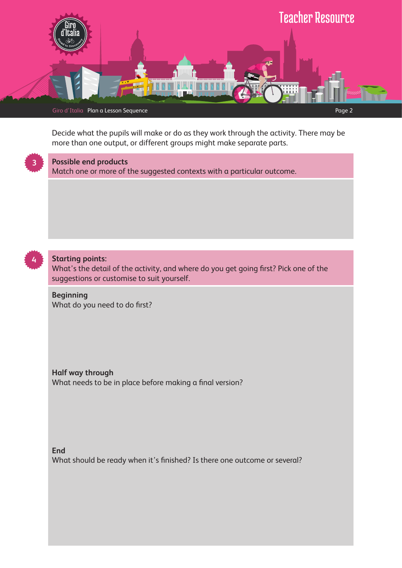

Decide what the pupils will make or do as they work through the activity. There may be more than one output, or different groups might make separate parts.



# **Possible end products**

Match one or more of the suggested contexts with a particular outcome.



## **Starting points:**

What's the detail of the activity, and where do you get going first? Pick one of the suggestions or customise to suit yourself.

**Beginning** What do you need to do first?

**Half way through** What needs to be in place before making a final version?

**End** What should be ready when it's finished? Is there one outcome or several?